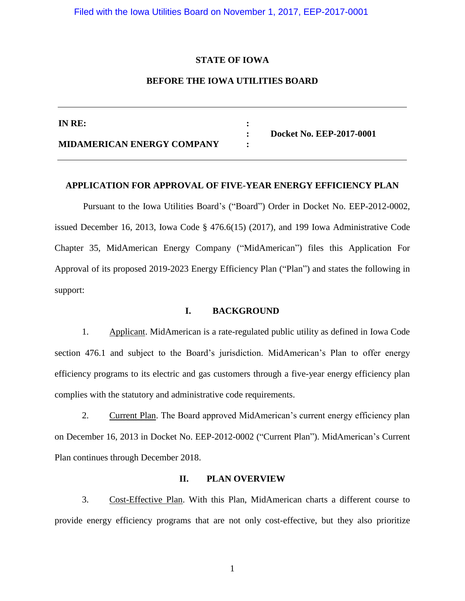Filed with the Iowa Utilities Board on November 1, 2017, EEP-2017-0001

#### **STATE OF IOWA**

# **BEFORE THE IOWA UTILITIES BOARD**

| IN RE:                            |                          |
|-----------------------------------|--------------------------|
| <b>MIDAMERICAN ENERGY COMPANY</b> | Docket No. EEP-2017-0001 |

#### **APPLICATION FOR APPROVAL OF FIVE-YEAR ENERGY EFFICIENCY PLAN**

Pursuant to the Iowa Utilities Board's ("Board") Order in Docket No. EEP-2012-0002, issued December 16, 2013, Iowa Code § 476.6(15) (2017), and 199 Iowa Administrative Code Chapter 35, MidAmerican Energy Company ("MidAmerican") files this Application For Approval of its proposed 2019-2023 Energy Efficiency Plan ("Plan") and states the following in support:

#### **I. BACKGROUND**

1. Applicant. MidAmerican is a rate-regulated public utility as defined in Iowa Code section 476.1 and subject to the Board's jurisdiction. MidAmerican's Plan to offer energy efficiency programs to its electric and gas customers through a five-year energy efficiency plan complies with the statutory and administrative code requirements.

2. Current Plan. The Board approved MidAmerican's current energy efficiency plan on December 16, 2013 in Docket No. EEP-2012-0002 ("Current Plan"). MidAmerican's Current Plan continues through December 2018.

## **II. PLAN OVERVIEW**

3. Cost-Effective Plan. With this Plan, MidAmerican charts a different course to provide energy efficiency programs that are not only cost-effective, but they also prioritize

1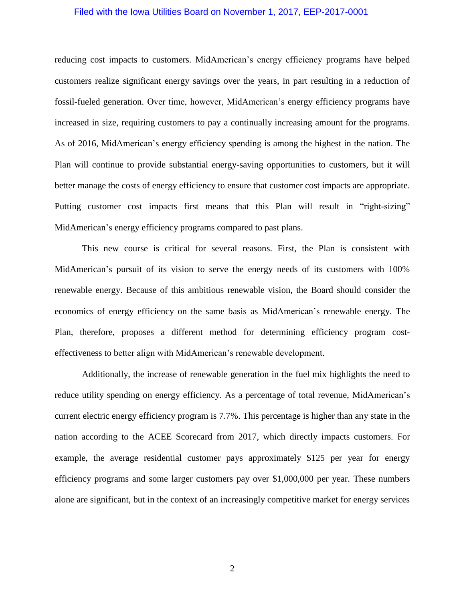### Filed with the Iowa Utilities Board on November 1, 2017, EEP-2017-0001

reducing cost impacts to customers. MidAmerican's energy efficiency programs have helped customers realize significant energy savings over the years, in part resulting in a reduction of fossil-fueled generation. Over time, however, MidAmerican's energy efficiency programs have increased in size, requiring customers to pay a continually increasing amount for the programs. As of 2016, MidAmerican's energy efficiency spending is among the highest in the nation. The Plan will continue to provide substantial energy-saving opportunities to customers, but it will better manage the costs of energy efficiency to ensure that customer cost impacts are appropriate. Putting customer cost impacts first means that this Plan will result in "right-sizing" MidAmerican's energy efficiency programs compared to past plans.

This new course is critical for several reasons. First, the Plan is consistent with MidAmerican's pursuit of its vision to serve the energy needs of its customers with 100% renewable energy. Because of this ambitious renewable vision, the Board should consider the economics of energy efficiency on the same basis as MidAmerican's renewable energy. The Plan, therefore, proposes a different method for determining efficiency program costeffectiveness to better align with MidAmerican's renewable development.

Additionally, the increase of renewable generation in the fuel mix highlights the need to reduce utility spending on energy efficiency. As a percentage of total revenue, MidAmerican's current electric energy efficiency program is 7.7%. This percentage is higher than any state in the nation according to the ACEE Scorecard from 2017, which directly impacts customers. For example, the average residential customer pays approximately \$125 per year for energy efficiency programs and some larger customers pay over \$1,000,000 per year. These numbers alone are significant, but in the context of an increasingly competitive market for energy services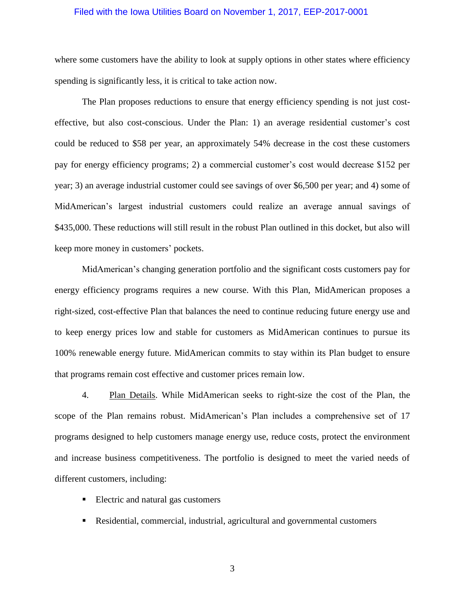### Filed with the Iowa Utilities Board on November 1, 2017, EEP-2017-0001

where some customers have the ability to look at supply options in other states where efficiency spending is significantly less, it is critical to take action now.

The Plan proposes reductions to ensure that energy efficiency spending is not just costeffective, but also cost-conscious. Under the Plan: 1) an average residential customer's cost could be reduced to \$58 per year, an approximately 54% decrease in the cost these customers pay for energy efficiency programs; 2) a commercial customer's cost would decrease \$152 per year; 3) an average industrial customer could see savings of over \$6,500 per year; and 4) some of MidAmerican's largest industrial customers could realize an average annual savings of \$435,000. These reductions will still result in the robust Plan outlined in this docket, but also will keep more money in customers' pockets.

MidAmerican's changing generation portfolio and the significant costs customers pay for energy efficiency programs requires a new course. With this Plan, MidAmerican proposes a right-sized, cost-effective Plan that balances the need to continue reducing future energy use and to keep energy prices low and stable for customers as MidAmerican continues to pursue its 100% renewable energy future. MidAmerican commits to stay within its Plan budget to ensure that programs remain cost effective and customer prices remain low.

4. Plan Details. While MidAmerican seeks to right-size the cost of the Plan, the scope of the Plan remains robust. MidAmerican's Plan includes a comprehensive set of 17 programs designed to help customers manage energy use, reduce costs, protect the environment and increase business competitiveness. The portfolio is designed to meet the varied needs of different customers, including:

- Electric and natural gas customers
- Residential, commercial, industrial, agricultural and governmental customers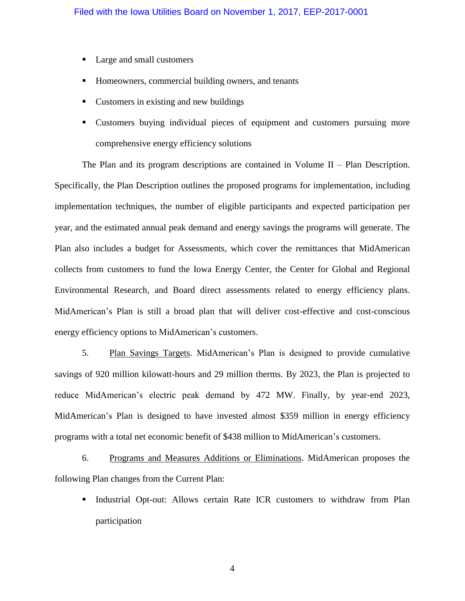- Large and small customers
- Homeowners, commercial building owners, and tenants
- Customers in existing and new buildings
- Customers buying individual pieces of equipment and customers pursuing more comprehensive energy efficiency solutions

The Plan and its program descriptions are contained in Volume II – Plan Description. Specifically, the Plan Description outlines the proposed programs for implementation, including implementation techniques, the number of eligible participants and expected participation per year, and the estimated annual peak demand and energy savings the programs will generate. The Plan also includes a budget for Assessments, which cover the remittances that MidAmerican collects from customers to fund the Iowa Energy Center, the Center for Global and Regional Environmental Research, and Board direct assessments related to energy efficiency plans. MidAmerican's Plan is still a broad plan that will deliver cost-effective and cost-conscious energy efficiency options to MidAmerican's customers.

5. Plan Savings Targets. MidAmerican's Plan is designed to provide cumulative savings of 920 million kilowatt-hours and 29 million therms. By 2023, the Plan is projected to reduce MidAmerican's electric peak demand by 472 MW. Finally, by year-end 2023, MidAmerican's Plan is designed to have invested almost \$359 million in energy efficiency programs with a total net economic benefit of \$438 million to MidAmerican's customers.

6. Programs and Measures Additions or Eliminations. MidAmerican proposes the following Plan changes from the Current Plan:

Industrial Opt-out: Allows certain Rate ICR customers to withdraw from Plan participation

4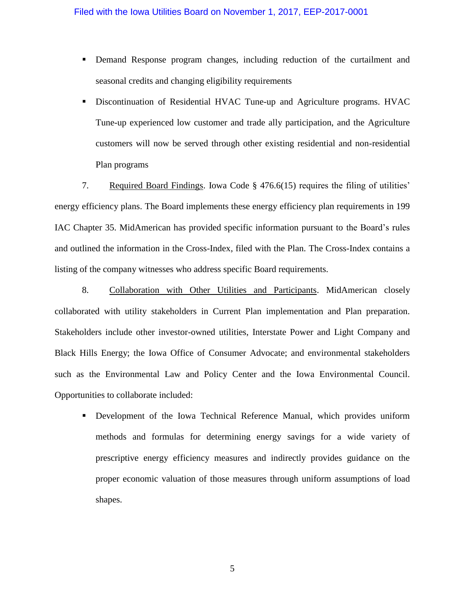- Demand Response program changes, including reduction of the curtailment and seasonal credits and changing eligibility requirements
- Discontinuation of Residential HVAC Tune-up and Agriculture programs. HVAC Tune-up experienced low customer and trade ally participation, and the Agriculture customers will now be served through other existing residential and non-residential Plan programs

7. Required Board Findings. Iowa Code § 476.6(15) requires the filing of utilities' energy efficiency plans. The Board implements these energy efficiency plan requirements in 199 IAC Chapter 35. MidAmerican has provided specific information pursuant to the Board's rules and outlined the information in the Cross-Index, filed with the Plan. The Cross-Index contains a listing of the company witnesses who address specific Board requirements.

8. Collaboration with Other Utilities and Participants. MidAmerican closely collaborated with utility stakeholders in Current Plan implementation and Plan preparation. Stakeholders include other investor-owned utilities, Interstate Power and Light Company and Black Hills Energy; the Iowa Office of Consumer Advocate; and environmental stakeholders such as the Environmental Law and Policy Center and the Iowa Environmental Council. Opportunities to collaborate included:

 Development of the Iowa Technical Reference Manual, which provides uniform methods and formulas for determining energy savings for a wide variety of prescriptive energy efficiency measures and indirectly provides guidance on the proper economic valuation of those measures through uniform assumptions of load shapes.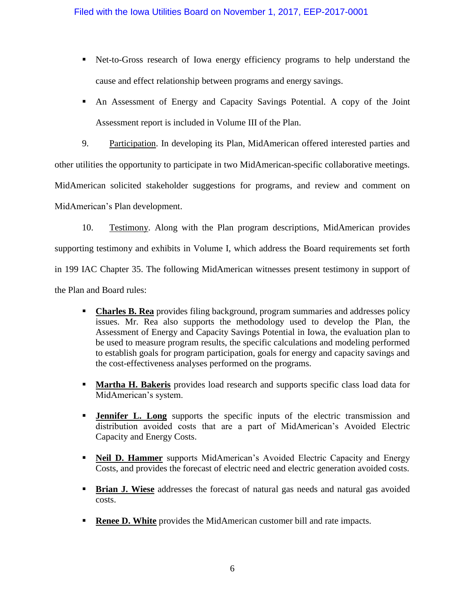- Net-to-Gross research of Iowa energy efficiency programs to help understand the cause and effect relationship between programs and energy savings.
- An Assessment of Energy and Capacity Savings Potential. A copy of the Joint Assessment report is included in Volume III of the Plan.

9. Participation. In developing its Plan, MidAmerican offered interested parties and other utilities the opportunity to participate in two MidAmerican-specific collaborative meetings. MidAmerican solicited stakeholder suggestions for programs, and review and comment on MidAmerican's Plan development.

10. Testimony. Along with the Plan program descriptions, MidAmerican provides supporting testimony and exhibits in Volume I, which address the Board requirements set forth in 199 IAC Chapter 35. The following MidAmerican witnesses present testimony in support of the Plan and Board rules:

- **Charles B. Rea** provides filing background, program summaries and addresses policy issues. Mr. Rea also supports the methodology used to develop the Plan, the Assessment of Energy and Capacity Savings Potential in Iowa, the evaluation plan to be used to measure program results, the specific calculations and modeling performed to establish goals for program participation, goals for energy and capacity savings and the cost-effectiveness analyses performed on the programs.
- **Martha H. Bakeris** provides load research and supports specific class load data for MidAmerican's system.
- **Jennifer L. Long** supports the specific inputs of the electric transmission and distribution avoided costs that are a part of MidAmerican's Avoided Electric Capacity and Energy Costs.
- **Neil D. Hammer** supports MidAmerican's Avoided Electric Capacity and Energy Costs, and provides the forecast of electric need and electric generation avoided costs.
- **Brian J. Wiese** addresses the forecast of natural gas needs and natural gas avoided costs.
- **Renee D. White** provides the MidAmerican customer bill and rate impacts.